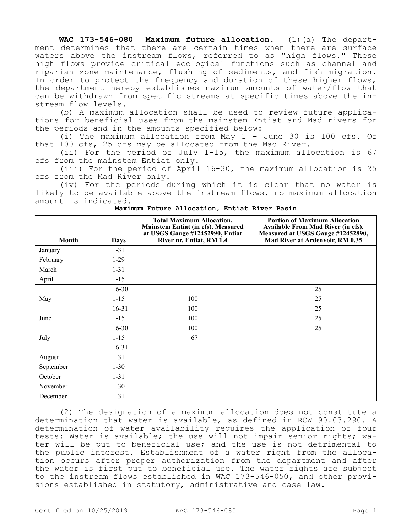**WAC 173-546-080 Maximum future allocation.** (1)(a) The department determines that there are certain times when there are surface waters above the instream flows, referred to as "high flows." These high flows provide critical ecological functions such as channel and riparian zone maintenance, flushing of sediments, and fish migration. In order to protect the frequency and duration of these higher flows, the department hereby establishes maximum amounts of water/flow that can be withdrawn from specific streams at specific times above the instream flow levels.

(b) A maximum allocation shall be used to review future applications for beneficial uses from the mainstem Entiat and Mad rivers for the periods and in the amounts specified below:

(i) The maximum allocation from May 1 - June 30 is 100 cfs. Of that 100 cfs, 25 cfs may be allocated from the Mad River.

(ii) For the period of July 1-15, the maximum allocation is 67 cfs from the mainstem Entiat only.

(iii) For the period of April 16-30, the maximum allocation is 25 cfs from the Mad River only.

(iv) For the periods during which it is clear that no water is likely to be available above the instream flows, no maximum allocation amount is indicated.

| Month     | <b>Days</b> | <b>Total Maximum Allocation,</b><br>Mainstem Entiat (in cfs). Measured<br>at USGS Gauge #12452990, Entiat<br>River nr. Entiat, RM 1.4 | <b>Portion of Maximum Allocation</b><br>Available From Mad River (in cfs).<br>Measured at USGS Gauge #12452890,<br>Mad River at Ardenvoir, RM 0.35 |
|-----------|-------------|---------------------------------------------------------------------------------------------------------------------------------------|----------------------------------------------------------------------------------------------------------------------------------------------------|
| January   | $1 - 31$    |                                                                                                                                       |                                                                                                                                                    |
| February  | $1-29$      |                                                                                                                                       |                                                                                                                                                    |
| March     | $1 - 31$    |                                                                                                                                       |                                                                                                                                                    |
| April     | $1 - 15$    |                                                                                                                                       |                                                                                                                                                    |
|           | $16 - 30$   |                                                                                                                                       | 25                                                                                                                                                 |
| May       | $1 - 15$    | 100                                                                                                                                   | 25                                                                                                                                                 |
|           | $16 - 31$   | 100                                                                                                                                   | 25                                                                                                                                                 |
| June      | $1 - 15$    | 100                                                                                                                                   | 25                                                                                                                                                 |
|           | $16 - 30$   | 100                                                                                                                                   | 25                                                                                                                                                 |
| July      | $1 - 15$    | 67                                                                                                                                    |                                                                                                                                                    |
|           | $16-31$     |                                                                                                                                       |                                                                                                                                                    |
| August    | $1 - 31$    |                                                                                                                                       |                                                                                                                                                    |
| September | $1 - 30$    |                                                                                                                                       |                                                                                                                                                    |
| October   | $1 - 31$    |                                                                                                                                       |                                                                                                                                                    |
| November  | $1 - 30$    |                                                                                                                                       |                                                                                                                                                    |
| December  | $1 - 31$    |                                                                                                                                       |                                                                                                                                                    |

**Maximum Future Allocation, Entiat River Basin**

(2) The designation of a maximum allocation does not constitute a determination that water is available, as defined in RCW 90.03.290. A determination of water availability requires the application of four tests: Water is available; the use will not impair senior rights; water will be put to beneficial use; and the use is not detrimental to the public interest. Establishment of a water right from the allocation occurs after proper authorization from the department and after the water is first put to beneficial use. The water rights are subject to the instream flows established in WAC 173-546-050, and other provisions established in statutory, administrative and case law.